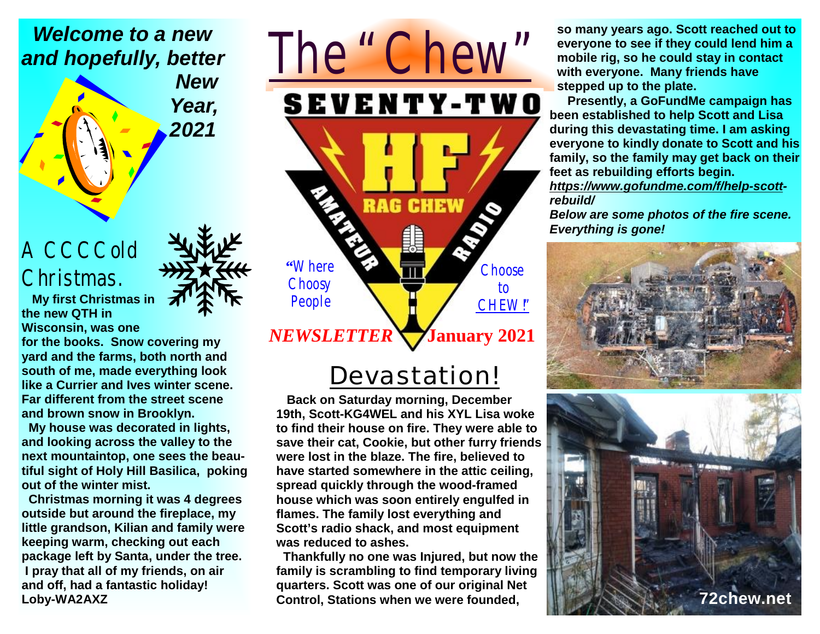#### *Welcome to a new and hopefully, better*

*New Year, 2021*

### A CCCCold Christmas.

 **My first Christmas in the new QTH in** 

**Wisconsin, was one for the books. Snow covering my yard and the farms, both north and south of me, made everything look** 

**like a Currier and Ives winter scene. Far different from the street scene and brown snow in Brooklyn.** 

 **My house was decorated in lights, and looking across the valley to the next mountaintop, one sees the beautiful sight of Holy Hill Basilica, poking out of the winter mist.** 

 **Christmas morning it was 4 degrees outside but around the fireplace, my little grandson, Kilian and family were keeping warm, checking out each package left by Santa, under the tree. I pray that all of my friends, on air and off, had a fantastic holiday! Loby-WA2AXZ** 

# *The "Chew"* **SEVENTY-TWO RAG CHEW "**Where **Choose Choosy** to People CHEW!" *NEWSLETTER*   **January 2021**

### *Devastation!*

 **Back on Saturday morning, December 19th, Scott-KG4WEL and his XYL Lisa woke to find their house on fire. They were able to save their cat, Cookie, but other furry friends were lost in the blaze. The fire, believed to have started somewhere in the attic ceiling, spread quickly through the wood-framed house which was soon entirely engulfed in flames. The family lost everything and Scott's radio shack, and most equipment was reduced to ashes.** 

 **Thankfully no one was Injured, but now the family is scrambling to find temporary living quarters. Scott was one of our original Net Control, Stations when we were founded,** 

**so many years ago. Scott reached out to everyone to see if they could lend him a mobile rig, so he could stay in contact with everyone. Many friends have stepped up to the plate.** 

 **Presently, a GoFundMe campaign has been established to help Scott and Lisa during this devastating time. I am asking everyone to kindly donate to Scott and his family, so the family may get back on their feet as rebuilding efforts begin.** 

*<https://www.gofundme.com/f/help-scott>rebuild/* 

*Below are some photos of the fire scene. Everything is gone!*



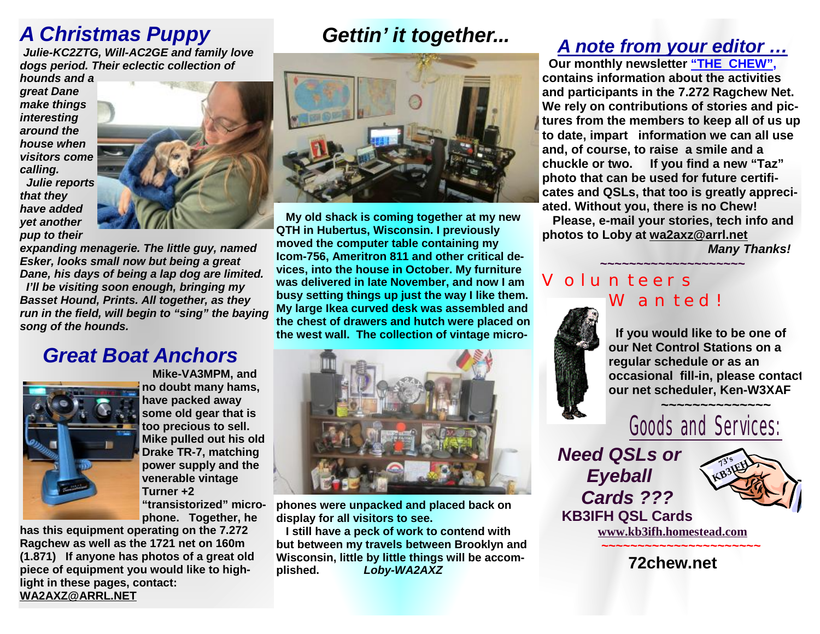### *A Christmas Puppy*

*Julie-KC2ZTG, Will-AC2GE and family love dogs period. Their eclectic collection of* 

*hounds and a great Dane make things interesting around the house when visitors come calling. Julie reports that they* 

*yet another* 

*have added* 

*pup to their expanding menagerie. The little guy, named Esker, looks small now but being a great Dane, his days of being a lap dog are limited. I'll be visiting soon enough, bringing my Basset Hound, Prints. All together, as they run in the field, will begin to "sing" the baying song of the hounds.* 

#### *Great Boat Anchors*



 **Mike-VA3MPM, and no doubt many hams, have packed away some old gear that is too precious to sell. Mike pulled out his old Drake TR-7, matching power supply and the venerable vintage Turner +2 "transistorized" microphone. Together, he** 

**has this equipment operating on the 7.272 Ragchew as well as the 1721 net on 160m (1.871) If anyone has photos of a great old piece of equipment you would like to highlight in these pages, contact: [WA2AXZ@ARRL.NET](mailto:WA2AXZ@ARRL.NET)**

### *Gettin' it together...*



 **My old shack is coming together at my new QTH in Hubertus, Wisconsin. I previously moved the computer table containing my Icom-756, Ameritron 811 and other critical devices, into the house in October. My furniture was delivered in late November, and now I am busy setting things up just the way I like them. My large Ikea curved desk was assembled and the chest of drawers and hutch were placed on the west wall. The collection of vintage micro-**



**phones were unpacked and placed back on display for all visitors to see.** 

**I still have a peck of work to contend with but between my travels between Brooklyn and Wisconsin, little by little things will be accomplished.** *Loby-WA2AXZ*

#### *A note from your editor …*

 **Our monthly newsletter "THE CHEW", contains information about the activities and participants in the 7.272 Ragchew Net. We rely on contributions of stories and pictures from the members to keep all of us up to date, impart information we can all use and, of course, to raise a smile and a chuckle or two. If you find a new "Taz" photo that can be used for future certificates and QSLs, that too is greatly appreciated. Without you, there is no Chew! Please, e-mail your stories, tech info and** 

**photos to Loby at [wa2axz@arrl.net](mailto:wa2axz@arrl.net)** *Many Thanks!* 

#### **~~~~~~~~~~~~~~~~~~~~** Volunteers Wanted!

 **If you would like to be one of our Net Control Stations on a regular schedule or as an occasional fill-in, please contact our net scheduler, Ken-W3XAF**



*Need QSLs or Eyeball Cards ???*   **KB3IFH QSL Cards** 



**[www.kb3ifh.homestead.com](http://www.kb3ifh.homestead.com) ~~~~~~~~~~~~~~~~~~~~~~** 

**72chew.net**